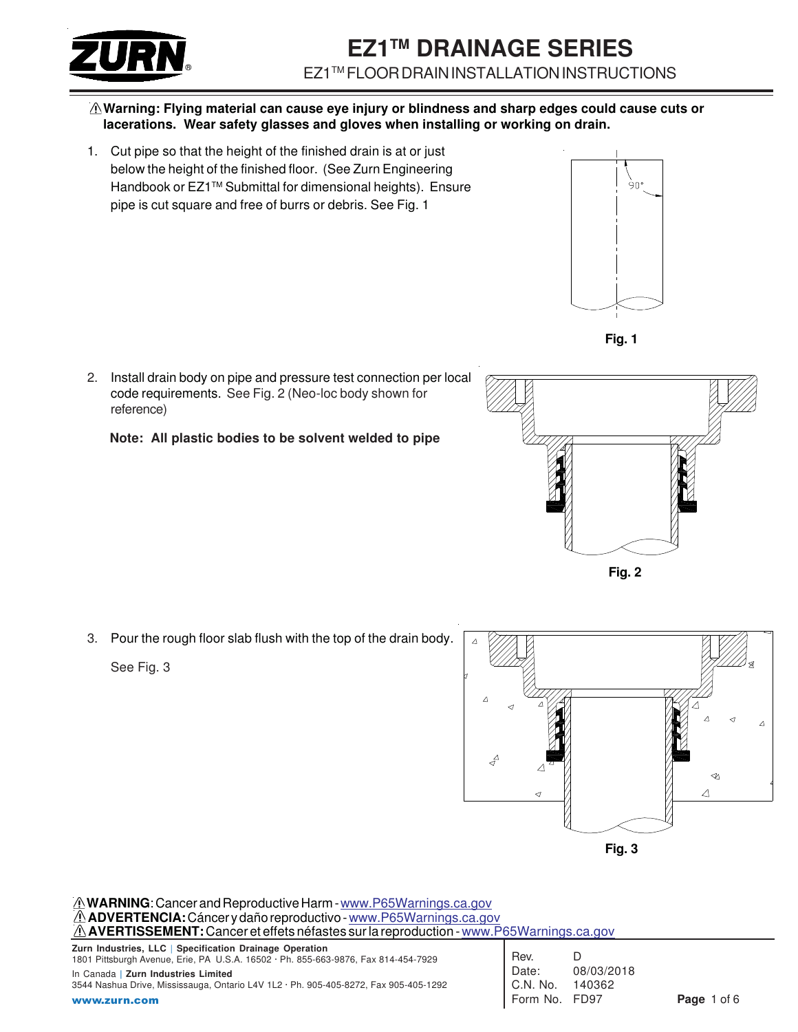

#### **Warning: Flying material can cause eye injury or blindness and sharp edges could cause cuts or lacerations. Wear safety glasses and gloves when installing or working on drain.**

1. Cut pipe so that the height of the finished drain is at or just below the height of the finished floor. (See Zurn Engineering Handbook or EZ1™ Submittal for dimensional heights). Ensure pipe is cut square and free of burrs or debris. See Fig. 1





2. Install drain body on pipe and pressure test connection per local code requirements. See Fig. 2 (Neo-loc body shown for reference)

 **Note: All plastic bodies to be solvent welded to pipe**



**Fig. 2**

3. Pour the rough floor slab flush with the top of the drain body.

See Fig. 3



**WARNING**: Cancer and Reproductive Harm - www.P65Warnings.ca.gov **ADVERTENCIA:** Cáncer y daño reproductivo - www.P65Warnings.ca.gov **AVERTISSEMENT:** Cancer et effets néfastes sur la reproduction - www.P65Warnings.ca.gov

**Zurn Industries, LLC** | **Specification Drainage Operation** 1801 Pittsburgh Avenue, Erie, PA U.S.A. 16502 · Ph. 855-663-9876, Fax 814-454-7929 In Canada **| Zurn Industries Limited** 3544 Nashua Drive, Mississauga, Ontario L4V 1L2 · Ph. 905-405-8272, Fax 905-405-1292 www.zurn.com

| Rev.     | D          |
|----------|------------|
| Date:    | 08/03/2018 |
| C.N. No. | 140362     |
| Form No. | FD97       |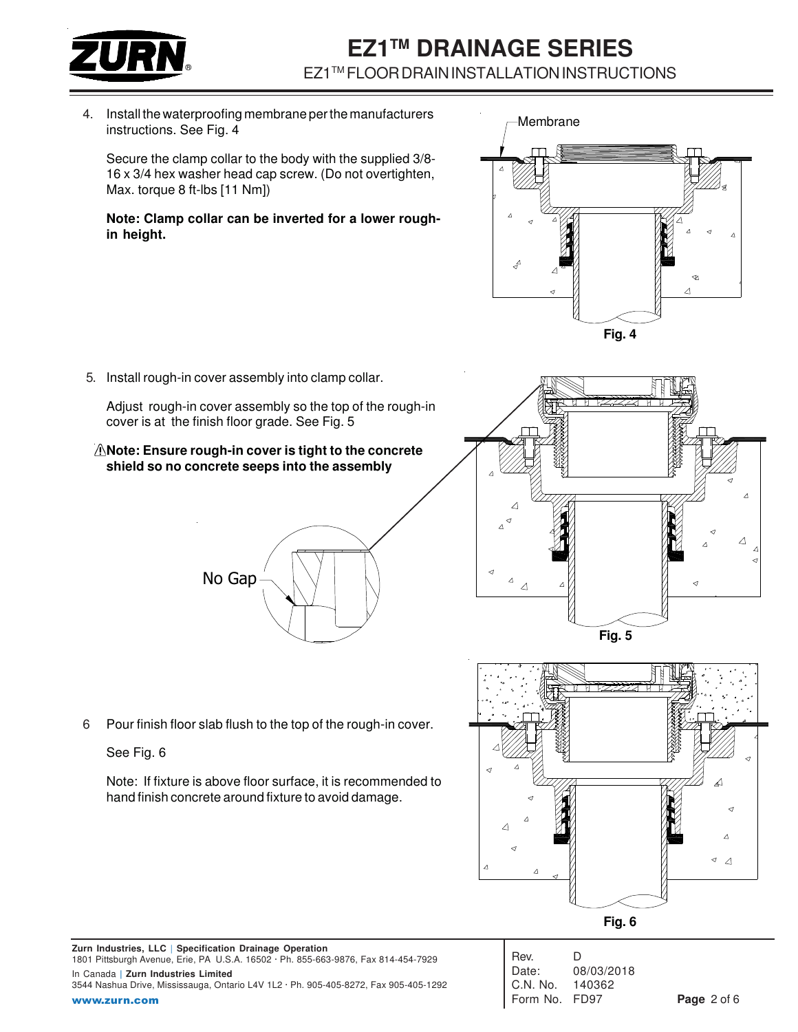

4. Install the waterproofing membrane per the manufacturers instructions. See Fig. 4

Secure the clamp collar to the body with the supplied 3/8- 16 x 3/4 hex washer head cap screw. (Do not overtighten, Max. torque 8 ft-lbs [11 Nm])

#### **Note: Clamp collar can be inverted for a lower roughin height.**



5. Install rough-in cover assembly into clamp collar.

Adjust rough-in cover assembly so the top of the rough-in cover is at the finish floor grade. See Fig. 5

#### **Note: Ensure rough-in cover is tight to the concrete shield so no concrete seeps into the assembly**





6 Pour finish floor slab flush to the top of the rough-in cover.

### See Fig. 6

Note: If fixture is above floor surface, it is recommended to hand finish concrete around fixture to avoid damage.

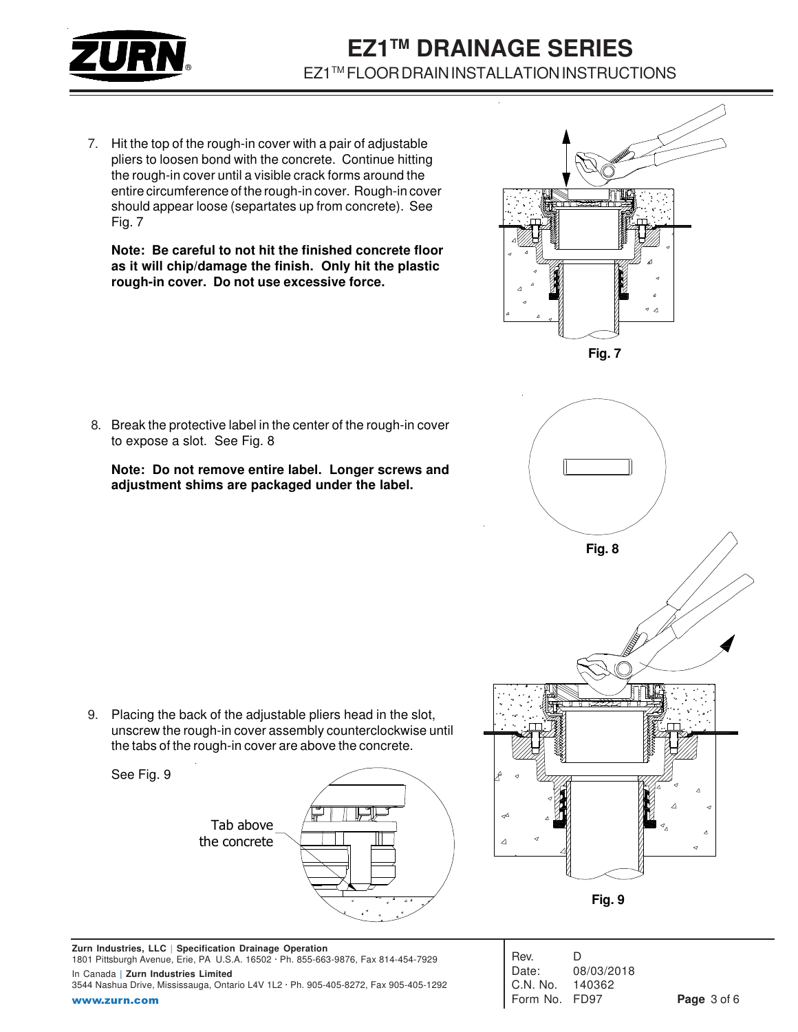

7. Hit the top of the rough-in cover with a pair of adjustable pliers to loosen bond with the concrete. Continue hitting the rough-in cover until a visible crack forms around the entire circumference of the rough-in cover. Rough-in cover should appear loose (separtates up from concrete). See Fig. 7

**Note: Be careful to not hit the finished concrete floor as it will chip/damage the finish. Only hit the plastic rough-in cover. Do not use excessive force.**

8. Break the protective label in the center of the rough-in cover to expose a slot. See Fig. 8

**Note: Do not remove entire label. Longer screws and adjustment shims are packaged under the label.**

unscrew the rough-in cover assembly counterclockwise until the tabs of the rough-in cover are above the concrete. See Fig. 9



9. Placing the back of the adjustable pliers head in the slot,







**Zurn Industries, LLC** | **Specification Drainage Operation** 1801 Pittsburgh Avenue, Erie, PA U.S.A. 16502 · Ph. 855-663-9876, Fax 814-454-7929 In Canada **| Zurn Industries Limited** 3544 Nashua Drive, Mississauga, Ontario L4V 1L2 · Ph. 905-405-8272, Fax 905-405-1292 www.zurn.com

| Rev.     | D          |
|----------|------------|
| Date:    | 08/03/2018 |
| C.N. No. | 140362     |
| Form No. | FD97       |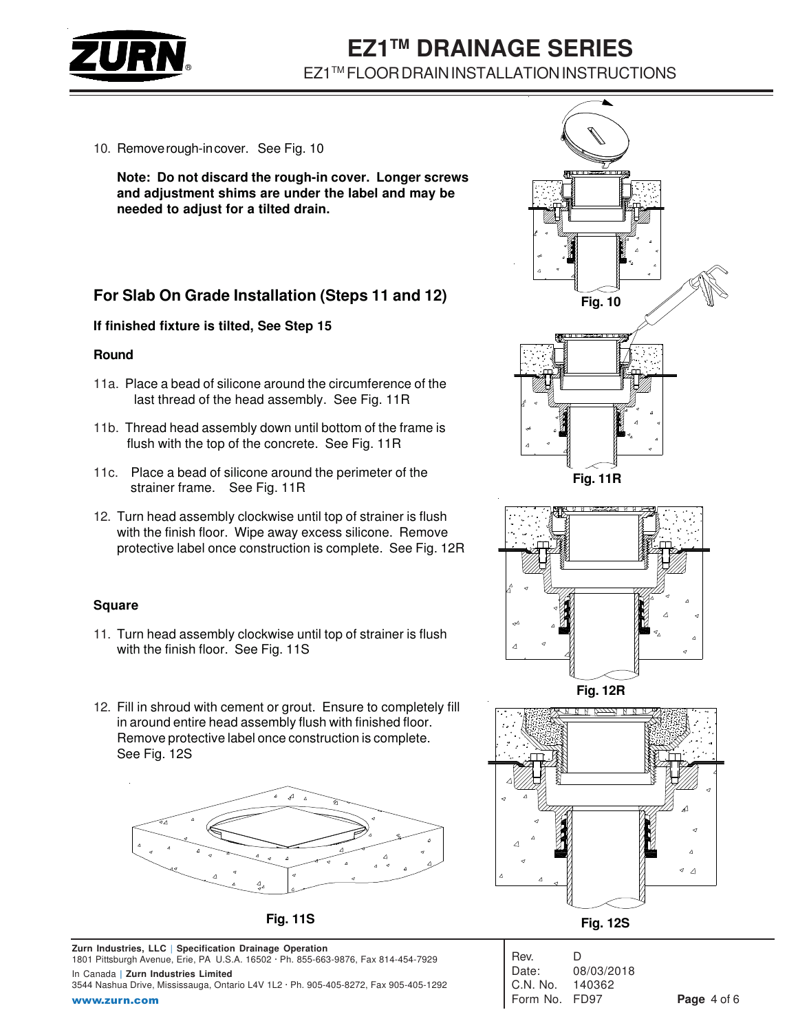

10. Remove rough-in cover. See Fig. 10

**Note: Do not discard the rough-in cover. Longer screws and adjustment shims are under the label and may be needed to adjust for a tilted drain.**

## **For Slab On Grade Installation (Steps 11 and 12)**

#### **If finished fixture is tilted, See Step 15**

#### **Round**

- 11a. Place a bead of silicone around the circumference of the last thread of the head assembly. See Fig. 11R
- 11b. Thread head assembly down until bottom of the frame is flush with the top of the concrete. See Fig. 11R
- 11c. Place a bead of silicone around the perimeter of the strainer frame. See Fig. 11R
- 12. Turn head assembly clockwise until top of strainer is flush with the finish floor. Wipe away excess silicone. Remove protective label once construction is complete. See Fig. 12R

### **Square**

- 11. Turn head assembly clockwise until top of strainer is flush with the finish floor. See Fig. 11S
- 12. Fill in shroud with cement or grout. Ensure to completely fill in around entire head assembly flush with finished floor. Remove protective label once construction is complete. See Fig. 12S



**Zurn Industries, LLC** | **Specification Drainage Operation** 1801 Pittsburgh Avenue, Erie, PA U.S.A. 16502 · Ph. 855-663-9876, Fax 814-454-7929

In Canada **| Zurn Industries Limited** 3544 Nashua Drive, Mississauga, Ontario L4V 1L2 · Ph. 905-405-8272, Fax 905-405-1292 www.zurn.com





**Fig. 12S Fig. 11S**

| Rev.            | D          |
|-----------------|------------|
| Date:           | 08/03/2018 |
| C.N. No. 140362 |            |
| Form No. FD97   |            |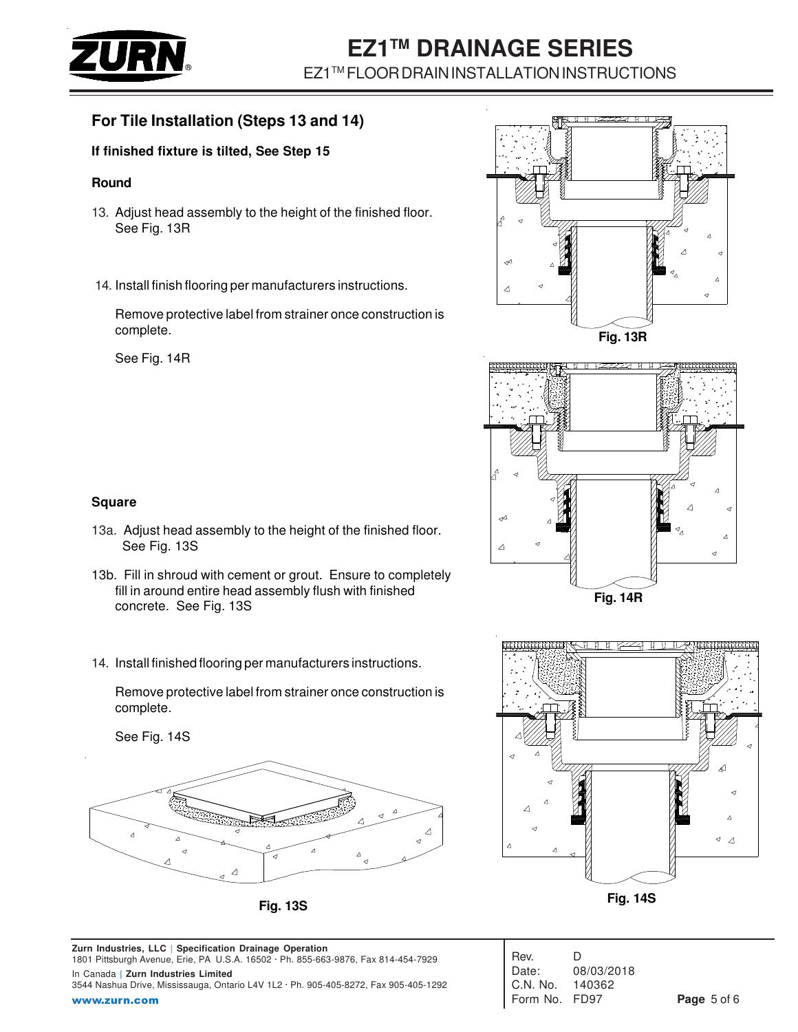

### **For Tile Installation (Steps 13 and 14)**

### **If finished fixture is tilted, See Step 15**

#### **Round**

- 13. Adjust head assembly to the height of the finished floor. See Fig. 13R
- 14. Install finish flooring per manufacturers instructions.

Remove protective label from strainer once construction is complete.

See Fig. 14R





### **Square**

- 13a. Adjust head assembly to the height of the finished floor. See Fig. 13S
- 13b. Fill in shroud with cement or grout. Ensure to completely fill in around entire head assembly flush with finished concrete. See Fig. 13S
- 14. Install finished flooring per manufacturers instructions.

Remove protective label from strainer once construction is complete.

See Fig. 14S





| Rev.       | D          |
|------------|------------|
| Date:      | 08/03/2018 |
| $C.N.$ No. | 140362     |
| Form No.   | FD97       |